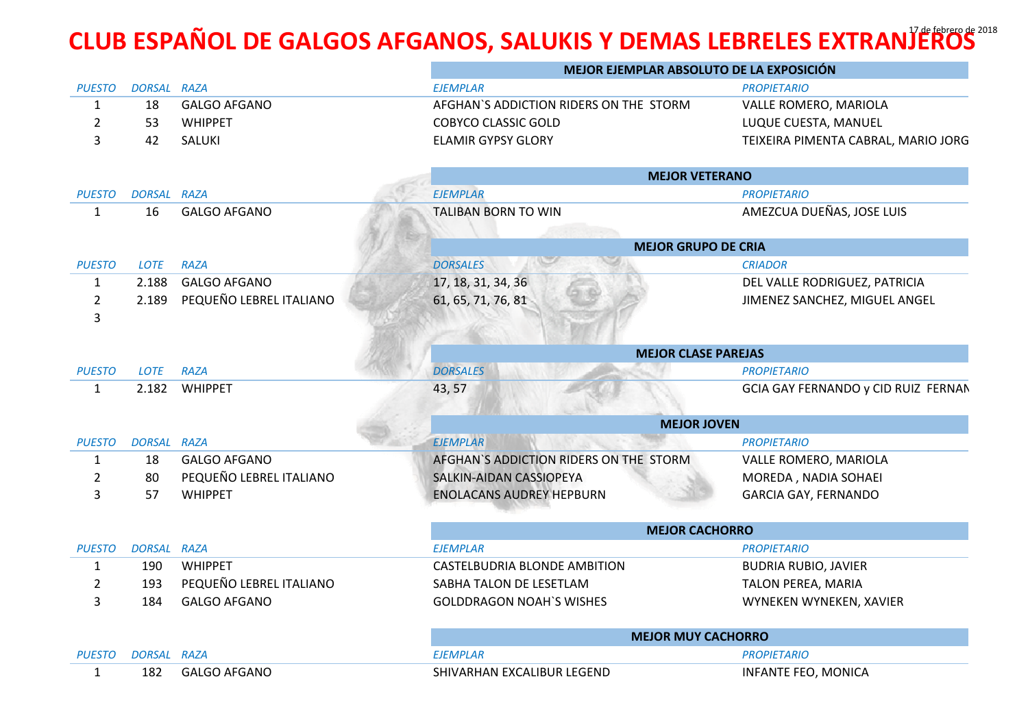## **CLUB ESPAÑOL DE GALGOS AFGANOS, SALUKIS Y DEMAS LEBRELES EXTRANJEROS**<sup>2018</sup>

|                     |             |                         | MEJOR EJEMPLAR ABSOLUTO DE LA EXPOSICIÓN |                                     |  |
|---------------------|-------------|-------------------------|------------------------------------------|-------------------------------------|--|
| <b>PUESTO</b>       | DORSAL RAZA |                         | <b>EJEMPLAR</b>                          | <b>PROPIETARIO</b>                  |  |
| $\mathbf{1}$        | 18          | <b>GALGO AFGANO</b>     | AFGHAN'S ADDICTION RIDERS ON THE STORM   | VALLE ROMERO, MARIOLA               |  |
| $\overline{2}$      | 53          | <b>WHIPPET</b>          | <b>COBYCO CLASSIC GOLD</b>               | LUQUE CUESTA, MANUEL                |  |
| 3                   | 42          | SALUKI                  | <b>ELAMIR GYPSY GLORY</b>                | TEIXEIRA PIMENTA CABRAL, MARIO JORG |  |
|                     |             |                         | <b>MEJOR VETERANO</b>                    |                                     |  |
| <b>PUESTO</b>       | DORSAL RAZA |                         | <b>EJEMPLAR</b>                          | <b>PROPIETARIO</b>                  |  |
| $\mathbf{1}$        | 16          | <b>GALGO AFGANO</b>     | <b>TALIBAN BORN TO WIN</b>               | AMEZCUA DUEÑAS, JOSE LUIS           |  |
|                     |             |                         | <b>MEJOR GRUPO DE CRIA</b>               |                                     |  |
| <b>PUESTO</b>       | LOTE        | <b>RAZA</b>             | <b>DORSALES</b>                          | <b>CRIADOR</b>                      |  |
| $\mathbf{1}$        | 2.188       | <b>GALGO AFGANO</b>     | 17, 18, 31, 34, 36                       | DEL VALLE RODRIGUEZ, PATRICIA       |  |
| $\overline{2}$<br>3 | 2.189       | PEQUEÑO LEBREL ITALIANO | 61, 65, 71, 76, 81                       | JIMENEZ SANCHEZ, MIGUEL ANGEL       |  |
|                     |             |                         |                                          |                                     |  |
|                     |             |                         | <b>MEJOR CLASE PAREJAS</b>               |                                     |  |
| <b>PUESTO</b>       | LOTE        | <b>RAZA</b>             | <b>DORSALES</b>                          | <b>PROPIETARIO</b>                  |  |
| $\mathbf{1}$        |             | 2.182 WHIPPET           | 43, 57                                   | GCIA GAY FERNANDO y CID RUIZ FERNAN |  |
|                     |             |                         | <b>MEJOR JOVEN</b>                       |                                     |  |
| <b>PUESTO</b>       | DORSAL RAZA |                         | <b>EJEMPLAR</b>                          | <b>PROPIETARIO</b>                  |  |
| $\mathbf{1}$        | 18          | <b>GALGO AFGANO</b>     | AFGHAN'S ADDICTION RIDERS ON THE STORM   | VALLE ROMERO, MARIOLA               |  |
| $\overline{2}$      | 80          | PEQUEÑO LEBREL ITALIANO | SALKIN-AIDAN CASSIOPEYA                  | MOREDA, NADIA SOHAEI                |  |
| 3                   | 57          | <b>WHIPPET</b>          | <b>ENOLACANS AUDREY HEPBURN</b>          | <b>GARCIA GAY, FERNANDO</b>         |  |
|                     |             |                         | <b>MEJOR CACHORRO</b>                    |                                     |  |
| <b>PUESTO</b>       | DORSAL RAZA |                         | <b>EJEMPLAR</b>                          | <b>PROPIETARIO</b>                  |  |
| $\mathbf{1}$        | 190         | <b>WHIPPET</b>          | <b>CASTELBUDRIA BLONDE AMBITION</b>      | <b>BUDRIA RUBIO, JAVIER</b>         |  |
| $\overline{2}$      | 193         | PEQUEÑO LEBREL ITALIANO | SABHA TALON DE LESETLAM                  | TALON PEREA, MARIA                  |  |
| 3                   | 184         | <b>GALGO AFGANO</b>     | <b>GOLDDRAGON NOAH'S WISHES</b>          | WYNEKEN WYNEKEN, XAVIER             |  |
|                     |             |                         | <b>MEJOR MUY CACHORRO</b>                |                                     |  |
| <b>PUESTO</b>       | DORSAL RAZA |                         | <b>EJEMPLAR</b>                          | <b>PROPIETARIO</b>                  |  |
| 1                   | 182         | <b>GALGO AFGANO</b>     | SHIVARHAN EXCALIBUR LEGEND               | INFANTE FEO, MONICA                 |  |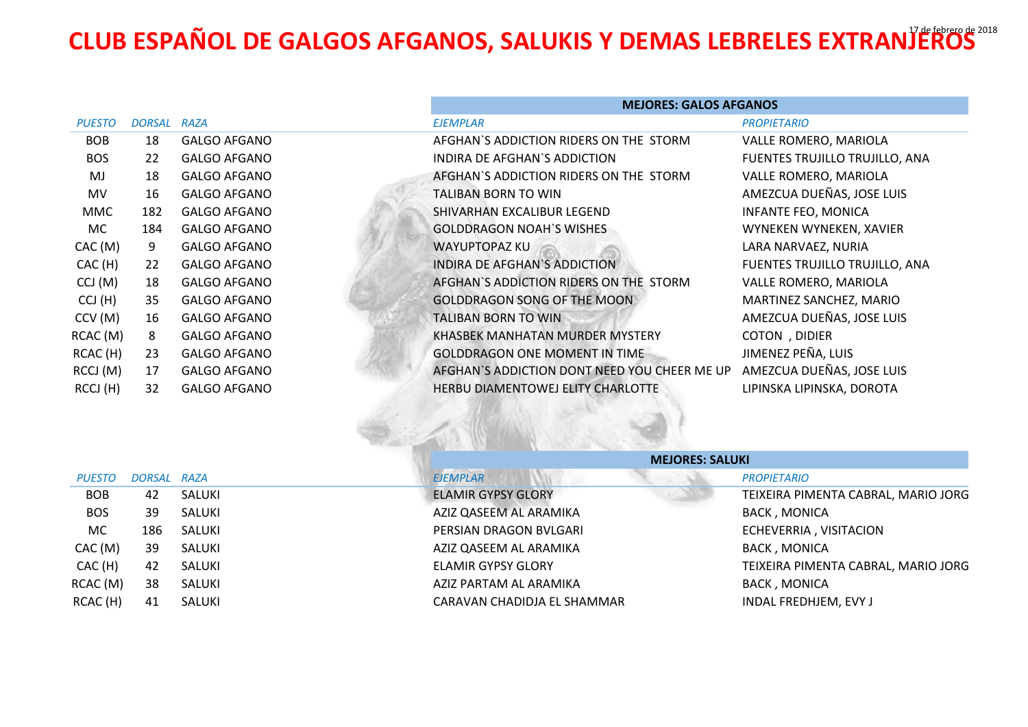## **CLUB ESPAÑOL DE GALGOS AFGANOS, SALUKIS Y DEMAS LEBRELES EXTRANJEROS** 2018

|               |               |                     | <b>MEJORES: GALOS AFGANOS</b>                |                                |
|---------------|---------------|---------------------|----------------------------------------------|--------------------------------|
| <b>PUESTO</b> | <b>DORSAL</b> | RAZA                | <b>EJEMPLAR</b>                              | <b>PROPIETARIO</b>             |
| <b>BOB</b>    | 18            | <b>GALGO AFGANO</b> | AFGHAN'S ADDICTION RIDERS ON THE STORM       | VALLE ROMERO, MARIOLA          |
| <b>BOS</b>    | 22            | <b>GALGO AFGANO</b> | INDIRA DE AFGHAN'S ADDICTION                 | FUENTES TRUJILLO TRUJILLO, ANA |
| MJ            | 18            | <b>GALGO AFGANO</b> | AFGHAN'S ADDICTION RIDERS ON THE STORM       | VALLE ROMERO, MARIOLA          |
| <b>MV</b>     | 16            | <b>GALGO AFGANO</b> | <b>TALIBAN BORN TO WIN</b>                   | AMEZCUA DUEÑAS, JOSE LUIS      |
| MMC           | 182           | <b>GALGO AFGANO</b> | SHIVARHAN EXCALIBUR LEGEND                   | <b>INFANTE FEO, MONICA</b>     |
| MC.           | 184           | <b>GALGO AFGANO</b> | <b>GOLDDRAGON NOAH'S WISHES</b>              | WYNEKEN WYNEKEN, XAVIER        |
| CAC(M)        | 9             | <b>GALGO AFGANO</b> | <b>WAYUPTOPAZ KU</b>                         | LARA NARVAEZ, NURIA            |
| CAC(H)        | 22            | <b>GALGO AFGANO</b> | INDIRA DE AFGHAN'S ADDICTION                 | FUENTES TRUJILLO TRUJILLO, ANA |
| CCJ(M)        | 18            | <b>GALGO AFGANO</b> | AFGHAN'S ADDICTION RIDERS ON THE STORM       | VALLE ROMERO, MARIOLA          |
| CCJ(H)        | 35            | <b>GALGO AFGANO</b> | <b>GOLDDRAGON SONG OF THE MOON</b>           | MARTINEZ SANCHEZ, MARIO        |
| CCV(M)        | 16            | <b>GALGO AFGANO</b> | TALIBAN BORN TO WIN                          | AMEZCUA DUEÑAS, JOSE LUIS      |
| RCAC (M)      | 8             | <b>GALGO AFGANO</b> | KHASBEK MANHATAN MURDER MYSTERY              | COTON, DIDIER                  |
| RCAC (H)      | 23            | <b>GALGO AFGANO</b> | <b>GOLDDRAGON ONE MOMENT IN TIME</b>         | JIMENEZ PEÑA, LUIS             |
| RCCJ (M)      | 17            | <b>GALGO AFGANO</b> | AFGHAN'S ADDICTION DONT NEED YOU CHEER ME UP | AMEZCUA DUEÑAS, JOSE LUIS      |
| RCCJ (H)      | 32            | <b>GALGO AFGANO</b> | <b>HERBU DIAMENTOWEJ ELITY CHARLOTTE</b>     | LIPINSKA LIPINSKA, DOROTA      |

|               |             |        |                             | <b>MEJORES: SALUKI</b> |                                     |  |
|---------------|-------------|--------|-----------------------------|------------------------|-------------------------------------|--|
| <b>PUESTO</b> | DORSAL RAZA |        | <b>EJEMPLAR</b>             |                        | <b>PROPIETARIO</b>                  |  |
| <b>BOB</b>    | 42          | SALUKI | <b>ELAMIR GYPSY GLORY</b>   |                        | TEIXEIRA PIMENTA CABRAL, MARIO JORG |  |
| <b>BOS</b>    | 39          | SALUKI | AZIZ QASEEM AL ARAMIKA      |                        | <b>BACK, MONICA</b>                 |  |
| MC            | 186         | SALUKI | PERSIAN DRAGON BVLGARI      |                        | ECHEVERRIA, VISITACION              |  |
| CAC(M)        | 39          | SALUKI | AZIZ QASEEM AL ARAMIKA      |                        | <b>BACK, MONICA</b>                 |  |
| CAC (H)       | 42          | SALUKI | ELAMIR GYPSY GLORY          |                        | TEIXEIRA PIMENTA CABRAL, MARIO JORG |  |
| RCAC (M)      | 38          | SALUKI | AZIZ PARTAM AL ARAMIKA      |                        | <b>BACK, MONICA</b>                 |  |
| RCAC (H)      | 41          | SALUKI | CARAVAN CHADIDJA EL SHAMMAR |                        | INDAL FREDHJEM, EVY J               |  |